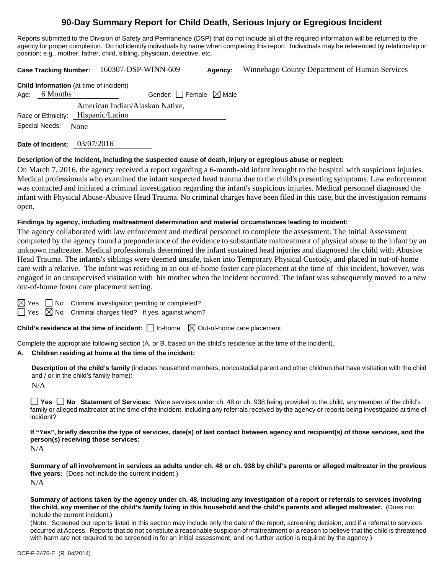# **90-Day Summary Report for Child Death, Serious Injury or Egregious Incident**

Reports submitted to the Division of Safety and Permanence (DSP) that do not include all of the required information will be returned to the agency for proper completion. Do not identify individuals by name when completing this report. Individuals may be referenced by relationship or position; e.g., mother, father, child, sibling, physician, detective, etc.

**Case Tracking Number:** 160307-DSP-WINN-609 **Agency:** Winnebago County Department of Human Services **Child Information** (at time of incident) Age: 6 Months Gender:  $\Box$  Female  $\boxtimes$  Male Race or Ethnicity: Hispanic/Latino American Indian/Alaskan Native, Special Needs: None

**Date of Incident:** 03/07/2016

#### **Description of the incident, including the suspected cause of death, injury or egregious abuse or neglect:**

On March 7, 2016, the agency received a report regarding a 6-month-old infant brought to the hospital with suspicious injuries. Medical professionals who examined the infant suspected head trauma due to the child's presenting symptoms. Law enforcement was contacted and initiated a criminal investigation regarding the infant's suspicious injuries. Medical personnel diagnosed the infant with Physical Abuse-Abusive Head Trauma. No criminal charges have been filed in this case, but the investigation remains open.

#### **Findings by agency, including maltreatment determination and material circumstances leading to incident:**

The agency collaborated with law enforcement and medical personnel to complete the assessment. The Initial Assessment completed by the agency found a preponderance of the evidence to substantiate maltreatment of physical abuse to the infant by an unknown maltreater. Medical professionals determined the infant sustained head injuries and diagnosed the child with Abusive Head Trauma. The infants's siblings were deemed unsafe, taken into Temporary Physical Custody, and placed in out-of-home care with a relative. The infant was residing in an out-of-home foster care placement at the time of this incident, however, was engaged in an unsupervised visitation with his mother when the incident occurred. The infant was subsequently moved to a new out-of-home foster care placement setting.

 $\boxtimes$  Yes  $\Box$  No Criminal investigation pending or completed?

 $\Box$  Yes  $\boxtimes$  No Criminal charges filed? If yes, against whom?

**Child's residence at the time of incident:**  $\Box$  In-home  $\Box$  Out-of-home care placement

Complete the appropriate following section (A. or B. based on the child's residence at the time of the incident).

#### **A. Children residing at home at the time of the incident:**

**Description of the child's family** (includes household members, noncustodial parent and other children that have visitation with the child and / or in the child's family home):

N/A

**Yes No Statement of Services:** Were services under ch. 48 or ch. 938 being provided to the child, any member of the child's family or alleged maltreater at the time of the incident, including any referrals received by the agency or reports being investigated at time of incident?

**If "Yes", briefly describe the type of services, date(s) of last contact between agency and recipient(s) of those services, and the person(s) receiving those services:** 

N/A

**Summary of all involvement in services as adults under ch. 48 or ch. 938 by child's parents or alleged maltreater in the previous five years:** (Does not include the current incident.) N/A

**Summary of actions taken by the agency under ch. 48, including any investigation of a report or referrals to services involving the child, any member of the child's family living in this household and the child's parents and alleged maltreater.** (Does not include the current incident.)

(Note: Screened out reports listed in this section may include only the date of the report, screening decision, and if a referral to services occurred at Access. Reports that do not constitute a reasonable suspicion of maltreatment or a reason to believe that the child is threatened with harm are not required to be screened in for an initial assessment, and no further action is required by the agency.)